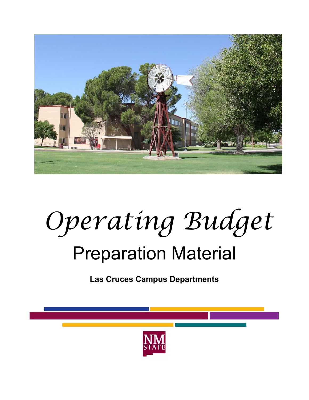

## *Operating Budget*

## Preparation Material

**Las Cruces Campus Departments** 



**BE BOLD.** Shape the Future. **New Mexico State University nmsu.edu**